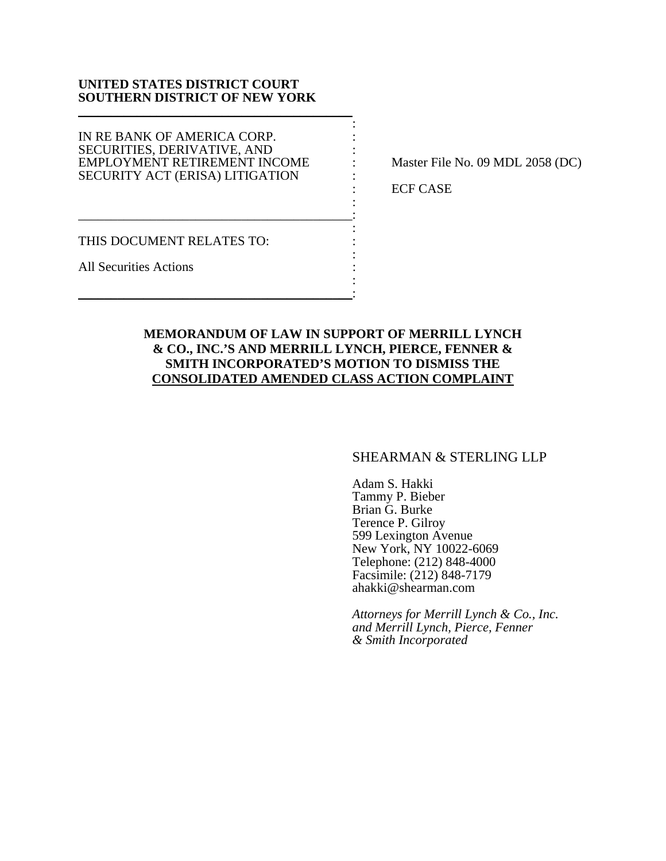### **UNITED STATES DISTRICT COURT SOUTHERN DISTRICT OF NEW YORK**  \_\_\_\_\_\_\_\_\_\_\_\_\_\_\_\_\_\_\_\_\_\_\_\_\_\_\_\_\_\_\_\_\_\_\_\_\_\_\_\_\_\_

the contract of the contract of the contract of the contract of the contract of IN RE BANK OF AMERICA CORP.  $\cdot$ SECURITIES, DERIVATIVE, AND : EMPLOYMENT RETIREMENT INCOME : Master File No. 09 MDL 2058 (DC) SECURITY ACT (ERISA) LITIGATION :

the contract of the contract of the contract of the contract of the contract of \_\_\_\_\_\_\_\_\_\_\_\_\_\_\_\_\_\_\_\_\_\_\_\_\_\_\_\_\_\_\_\_\_\_\_\_\_\_\_\_\_\_: the contract of the contract of the contract of the contract of the contract of

\_\_\_\_\_\_\_\_\_\_\_\_\_\_\_\_\_\_\_\_\_\_\_\_\_\_\_\_\_\_\_\_\_\_\_\_\_\_\_\_\_\_:

: ECF CASE

THIS DOCUMENT RELATES TO: the contract of the contract of the contract of the contract of the contract of

All Securities Actions : the contract of the contract of the contract of the contract of the contract of

# **MEMORANDUM OF LAW IN SUPPORT OF MERRILL LYNCH & CO., INC.'S AND MERRILL LYNCH, PIERCE, FENNER & SMITH INCORPORATED'S MOTION TO DISMISS THE CONSOLIDATED AMENDED CLASS ACTION COMPLAINT**

## SHEARMAN & STERLING LLP

Adam S. Hakki Tammy P. Bieber Brian G. Burke Terence P. Gilroy 599 Lexington Avenue New York, NY 10022-6069 Telephone: (212) 848-4000 Facsimile: (212) 848-7179 ahakki@shearman.com

*Attorneys for Merrill Lynch & Co., Inc. and Merrill Lynch, Pierce, Fenner & Smith Incorporated*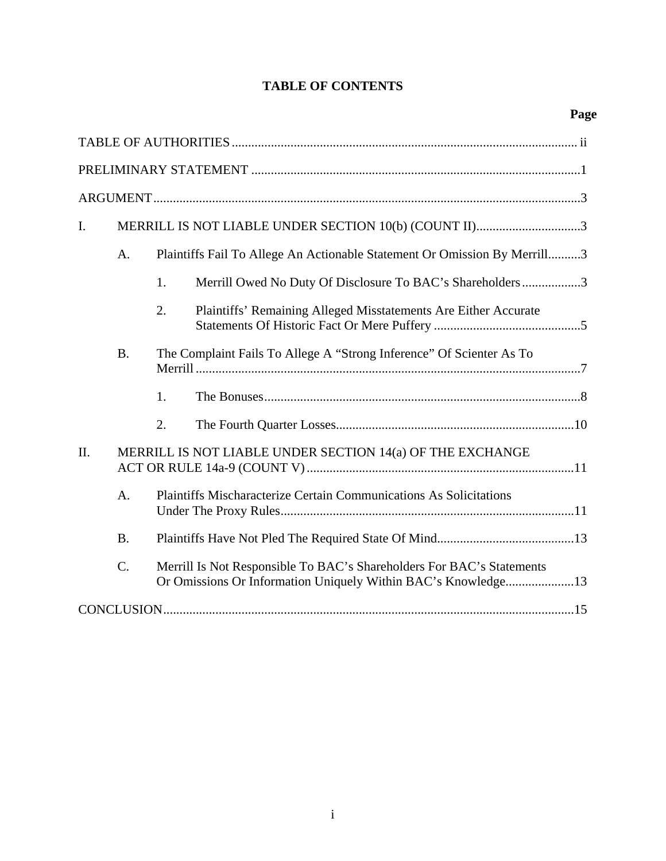# **TABLE OF CONTENTS**

| I.  | MERRILL IS NOT LIABLE UNDER SECTION 10(b) (COUNT II)3 |                                                                           |                                                                       |  |  |  |  |
|-----|-------------------------------------------------------|---------------------------------------------------------------------------|-----------------------------------------------------------------------|--|--|--|--|
|     | A.                                                    | Plaintiffs Fail To Allege An Actionable Statement Or Omission By Merrill3 |                                                                       |  |  |  |  |
|     |                                                       | 1.                                                                        | Merrill Owed No Duty Of Disclosure To BAC's Shareholders3             |  |  |  |  |
|     |                                                       | 2.                                                                        | Plaintiffs' Remaining Alleged Misstatements Are Either Accurate       |  |  |  |  |
|     | <b>B.</b>                                             | The Complaint Fails To Allege A "Strong Inference" Of Scienter As To      |                                                                       |  |  |  |  |
|     |                                                       | 1.                                                                        |                                                                       |  |  |  |  |
|     |                                                       | 2.                                                                        |                                                                       |  |  |  |  |
| II. |                                                       | MERRILL IS NOT LIABLE UNDER SECTION 14(a) OF THE EXCHANGE                 |                                                                       |  |  |  |  |
|     | $\mathbf{A}$ .                                        | Plaintiffs Mischaracterize Certain Communications As Solicitations        |                                                                       |  |  |  |  |
|     | <b>B.</b>                                             |                                                                           |                                                                       |  |  |  |  |
|     | $\mathcal{C}$ .                                       |                                                                           | Merrill Is Not Responsible To BAC's Shareholders For BAC's Statements |  |  |  |  |
|     |                                                       |                                                                           |                                                                       |  |  |  |  |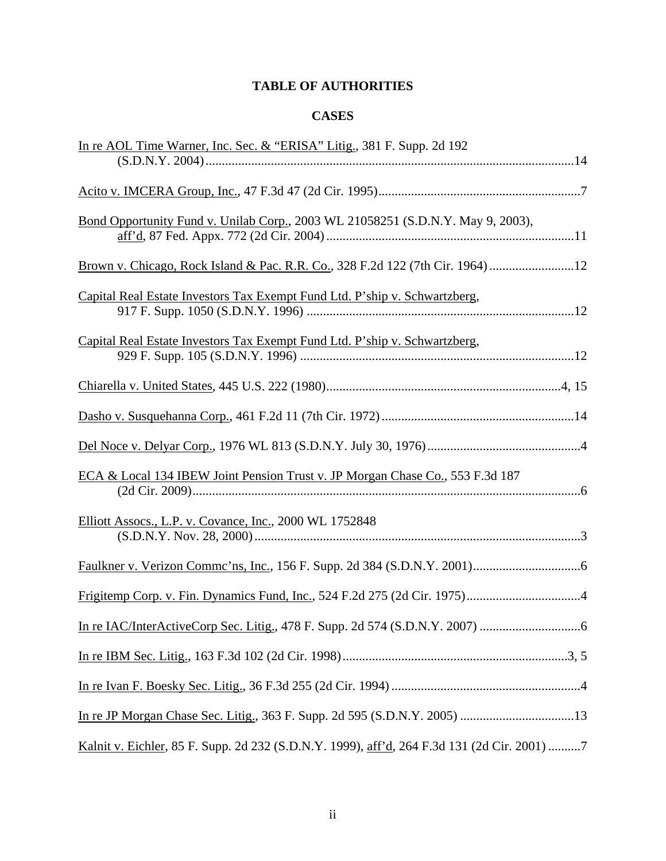# **TABLE OF AUTHORITIES**

# **CASES**

| In re AOL Time Warner, Inc. Sec. & "ERISA" Litig., 381 F. Supp. 2d 192                      |
|---------------------------------------------------------------------------------------------|
|                                                                                             |
|                                                                                             |
| Bond Opportunity Fund v. Unilab Corp., 2003 WL 21058251 (S.D.N.Y. May 9, 2003),             |
| Brown v. Chicago, Rock Island & Pac. R.R. Co., 328 F.2d 122 (7th Cir. 1964)12               |
| Capital Real Estate Investors Tax Exempt Fund Ltd. P'ship v. Schwartzberg,                  |
| Capital Real Estate Investors Tax Exempt Fund Ltd. P'ship v. Schwartzberg,                  |
|                                                                                             |
|                                                                                             |
|                                                                                             |
| ECA & Local 134 IBEW Joint Pension Trust v. JP Morgan Chase Co., 553 F.3d 187               |
| Elliott Assocs., L.P. v. Covance, Inc., 2000 WL 1752848                                     |
|                                                                                             |
|                                                                                             |
|                                                                                             |
|                                                                                             |
|                                                                                             |
|                                                                                             |
| Kalnit v. Eichler, 85 F. Supp. 2d 232 (S.D.N.Y. 1999), aff'd, 264 F.3d 131 (2d Cir. 2001) 7 |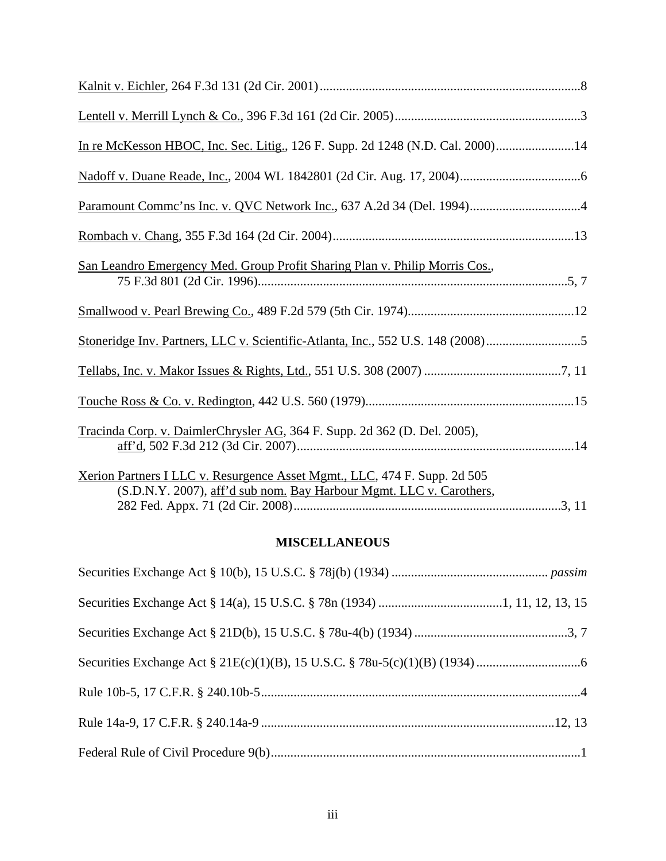| In re McKesson HBOC, Inc. Sec. Litig., 126 F. Supp. 2d 1248 (N.D. Cal. 2000)14                                                                   |
|--------------------------------------------------------------------------------------------------------------------------------------------------|
|                                                                                                                                                  |
|                                                                                                                                                  |
|                                                                                                                                                  |
| San Leandro Emergency Med. Group Profit Sharing Plan v. Philip Morris Cos.,                                                                      |
|                                                                                                                                                  |
| Stoneridge Inv. Partners, LLC v. Scientific-Atlanta, Inc., 552 U.S. 148 (2008)5                                                                  |
|                                                                                                                                                  |
|                                                                                                                                                  |
| Tracinda Corp. v. DaimlerChrysler AG, 364 F. Supp. 2d 362 (D. Del. 2005),                                                                        |
| Xerion Partners I LLC v. Resurgence Asset Mgmt., LLC, 474 F. Supp. 2d 505<br>(S.D.N.Y. 2007), aff'd sub nom. Bay Harbour Mgmt. LLC v. Carothers, |

# **MISCELLANEOUS**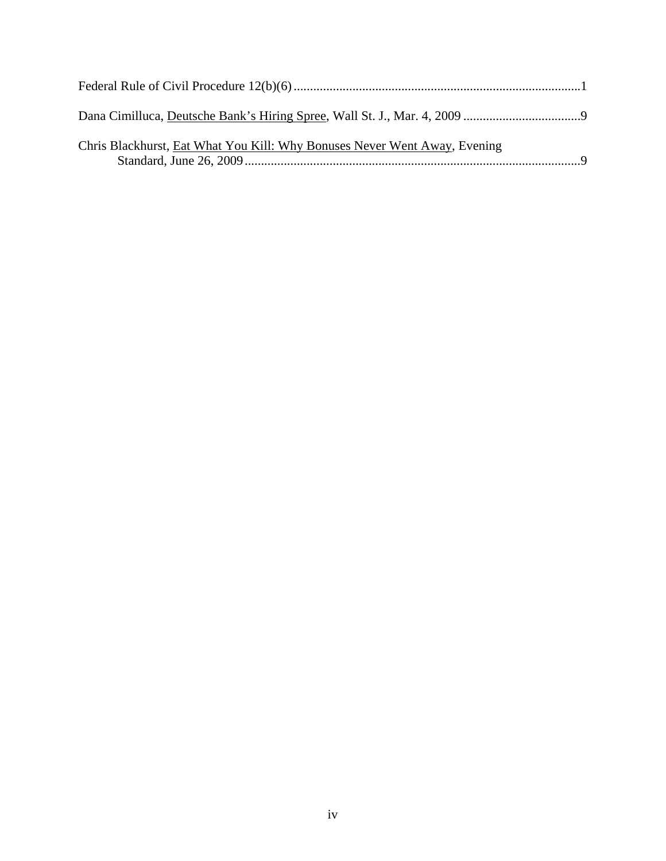| Chris Blackhurst, Eat What You Kill: Why Bonuses Never Went Away, Evening |  |
|---------------------------------------------------------------------------|--|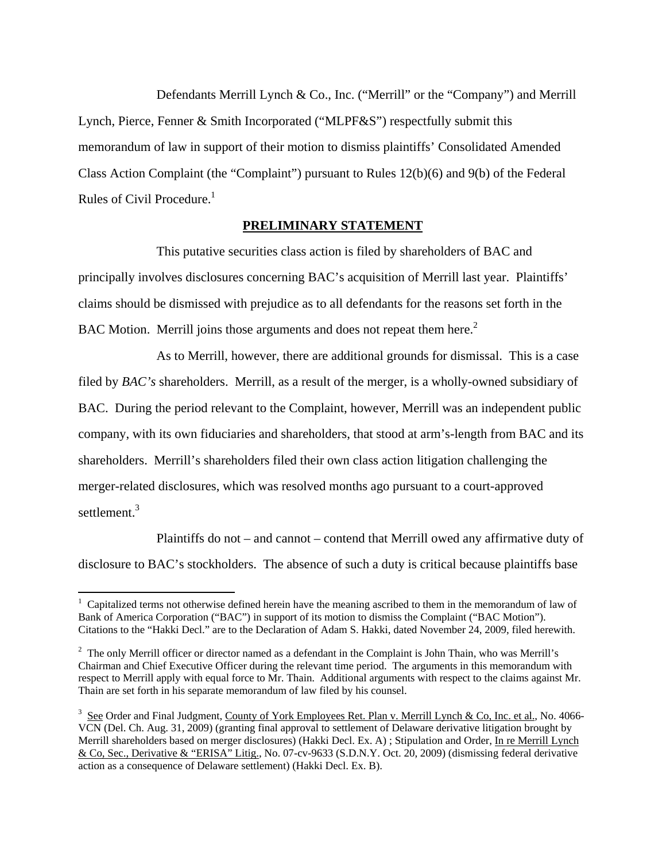Defendants Merrill Lynch & Co., Inc. ("Merrill" or the "Company") and Merrill Lynch, Pierce, Fenner & Smith Incorporated ("MLPF&S") respectfully submit this memorandum of law in support of their motion to dismiss plaintiffs' Consolidated Amended Class Action Complaint (the "Complaint") pursuant to Rules 12(b)(6) and 9(b) of the Federal Rules of Civil Procedure.<sup>1</sup>

### **PRELIMINARY STATEMENT**

This putative securities class action is filed by shareholders of BAC and principally involves disclosures concerning BAC's acquisition of Merrill last year. Plaintiffs' claims should be dismissed with prejudice as to all defendants for the reasons set forth in the BAC Motion. Merrill joins those arguments and does not repeat them here.<sup>2</sup>

As to Merrill, however, there are additional grounds for dismissal. This is a case filed by *BAC's* shareholders. Merrill, as a result of the merger, is a wholly-owned subsidiary of BAC. During the period relevant to the Complaint, however, Merrill was an independent public company, with its own fiduciaries and shareholders, that stood at arm's-length from BAC and its shareholders. Merrill's shareholders filed their own class action litigation challenging the merger-related disclosures, which was resolved months ago pursuant to a court-approved settlement.<sup>3</sup>

Plaintiffs do not – and cannot – contend that Merrill owed any affirmative duty of disclosure to BAC's stockholders. The absence of such a duty is critical because plaintiffs base

<sup>&</sup>lt;sup>1</sup> Capitalized terms not otherwise defined herein have the meaning ascribed to them in the memorandum of law of Bank of America Corporation ("BAC") in support of its motion to dismiss the Complaint ("BAC Motion"). Citations to the "Hakki Decl." are to the Declaration of Adam S. Hakki, dated November 24, 2009, filed herewith.

 $2$  The only Merrill officer or director named as a defendant in the Complaint is John Thain, who was Merrill's Chairman and Chief Executive Officer during the relevant time period. The arguments in this memorandum with respect to Merrill apply with equal force to Mr. Thain. Additional arguments with respect to the claims against Mr. Thain are set forth in his separate memorandum of law filed by his counsel.

 $3\,$  See Order and Final Judgment, County of York Employees Ret. Plan v. Merrill Lynch & Co, Inc. et al., No. 4066-VCN (Del. Ch. Aug. 31, 2009) (granting final approval to settlement of Delaware derivative litigation brought by Merrill shareholders based on merger disclosures) (Hakki Decl. Ex. A); Stipulation and Order, In re Merrill Lynch & Co, Sec., Derivative & "ERISA" Litig., No. 07-cv-9633 (S.D.N.Y. Oct. 20, 2009) (dismissing federal derivative action as a consequence of Delaware settlement) (Hakki Decl. Ex. B).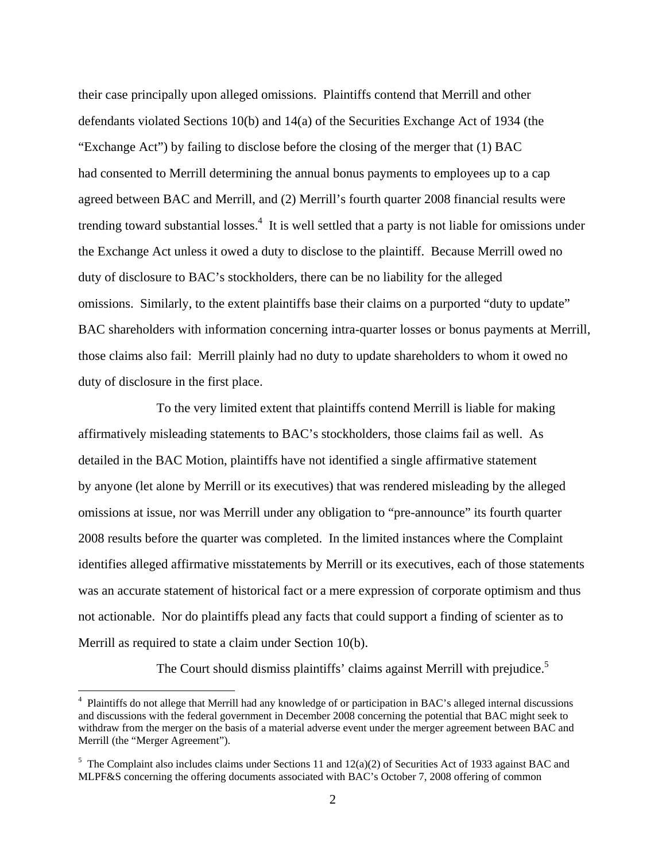their case principally upon alleged omissions. Plaintiffs contend that Merrill and other defendants violated Sections 10(b) and 14(a) of the Securities Exchange Act of 1934 (the "Exchange Act") by failing to disclose before the closing of the merger that (1) BAC had consented to Merrill determining the annual bonus payments to employees up to a cap agreed between BAC and Merrill, and (2) Merrill's fourth quarter 2008 financial results were trending toward substantial losses.<sup>4</sup> It is well settled that a party is not liable for omissions under the Exchange Act unless it owed a duty to disclose to the plaintiff. Because Merrill owed no duty of disclosure to BAC's stockholders, there can be no liability for the alleged omissions. Similarly, to the extent plaintiffs base their claims on a purported "duty to update" BAC shareholders with information concerning intra-quarter losses or bonus payments at Merrill, those claims also fail: Merrill plainly had no duty to update shareholders to whom it owed no duty of disclosure in the first place.

To the very limited extent that plaintiffs contend Merrill is liable for making affirmatively misleading statements to BAC's stockholders, those claims fail as well. As detailed in the BAC Motion, plaintiffs have not identified a single affirmative statement by anyone (let alone by Merrill or its executives) that was rendered misleading by the alleged omissions at issue, nor was Merrill under any obligation to "pre-announce" its fourth quarter 2008 results before the quarter was completed. In the limited instances where the Complaint identifies alleged affirmative misstatements by Merrill or its executives, each of those statements was an accurate statement of historical fact or a mere expression of corporate optimism and thus not actionable. Nor do plaintiffs plead any facts that could support a finding of scienter as to Merrill as required to state a claim under Section 10(b).

The Court should dismiss plaintiffs' claims against Merrill with prejudice.<sup>5</sup>

<u>.</u>

<sup>&</sup>lt;sup>4</sup> Plaintiffs do not allege that Merrill had any knowledge of or participation in BAC's alleged internal discussions and discussions with the federal government in December 2008 concerning the potential that BAC might seek to withdraw from the merger on the basis of a material adverse event under the merger agreement between BAC and Merrill (the "Merger Agreement").

<sup>&</sup>lt;sup>5</sup> The Complaint also includes claims under Sections 11 and  $12(a)(2)$  of Securities Act of 1933 against BAC and MLPF&S concerning the offering documents associated with BAC's October 7, 2008 offering of common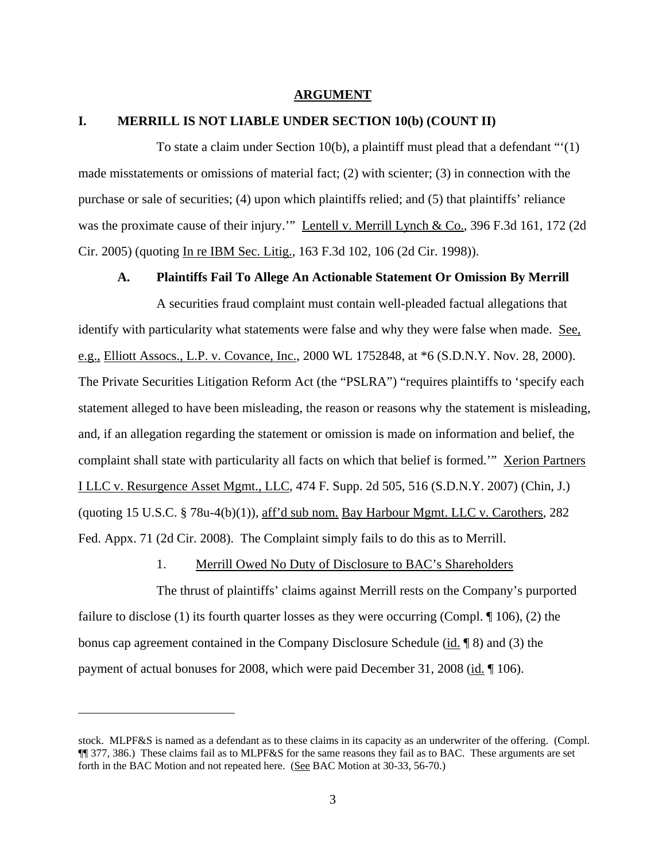### **ARGUMENT**

#### **I. MERRILL IS NOT LIABLE UNDER SECTION 10(b) (COUNT II)**

To state a claim under Section 10(b), a plaintiff must plead that a defendant "'(1) made misstatements or omissions of material fact; (2) with scienter; (3) in connection with the purchase or sale of securities; (4) upon which plaintiffs relied; and (5) that plaintiffs' reliance was the proximate cause of their injury."" Lentell v. Merrill Lynch & Co., 396 F.3d 161, 172 (2d Cir. 2005) (quoting In re IBM Sec. Litig., 163 F.3d 102, 106 (2d Cir. 1998)).

### **A. Plaintiffs Fail To Allege An Actionable Statement Or Omission By Merrill**

A securities fraud complaint must contain well-pleaded factual allegations that identify with particularity what statements were false and why they were false when made. See, e.g., Elliott Assocs., L.P. v. Covance, Inc., 2000 WL 1752848, at \*6 (S.D.N.Y. Nov. 28, 2000). The Private Securities Litigation Reform Act (the "PSLRA") "requires plaintiffs to 'specify each statement alleged to have been misleading, the reason or reasons why the statement is misleading, and, if an allegation regarding the statement or omission is made on information and belief, the complaint shall state with particularity all facts on which that belief is formed." Xerion Partners I LLC v. Resurgence Asset Mgmt., LLC, 474 F. Supp. 2d 505, 516 (S.D.N.Y. 2007) (Chin, J.) (quoting 15 U.S.C. § 78u-4(b)(1)), aff'd sub nom. Bay Harbour Mgmt. LLC v. Carothers, 282 Fed. Appx. 71 (2d Cir. 2008). The Complaint simply fails to do this as to Merrill.

1. Merrill Owed No Duty of Disclosure to BAC's Shareholders

The thrust of plaintiffs' claims against Merrill rests on the Company's purported failure to disclose (1) its fourth quarter losses as they were occurring (Compl. ¶ 106), (2) the bonus cap agreement contained in the Company Disclosure Schedule (id. ¶ 8) and (3) the payment of actual bonuses for 2008, which were paid December 31, 2008 (id. 106).

stock. MLPF&S is named as a defendant as to these claims in its capacity as an underwriter of the offering. (Compl. ¶¶ 377, 386.) These claims fail as to MLPF&S for the same reasons they fail as to BAC. These arguments are set forth in the BAC Motion and not repeated here. (See BAC Motion at 30-33, 56-70.)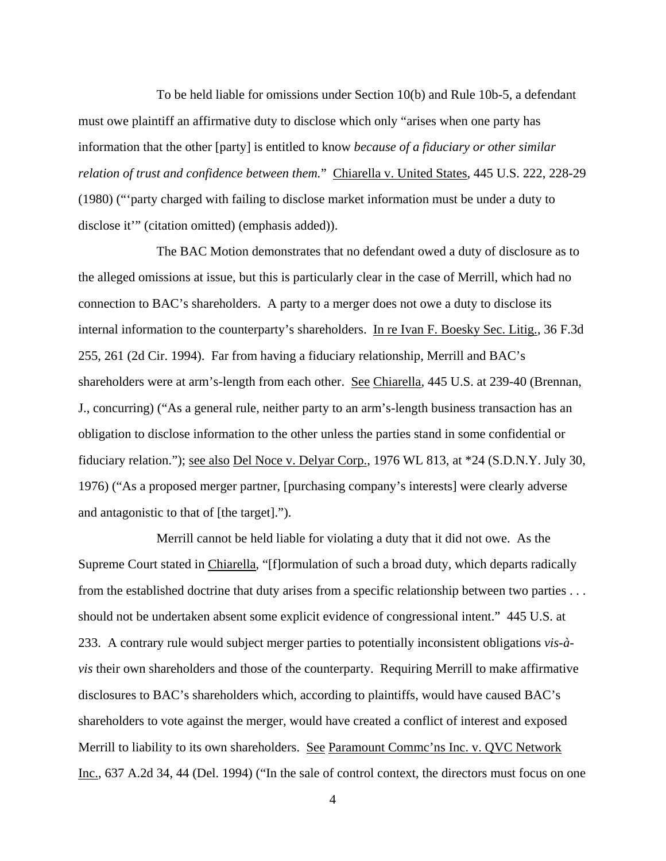To be held liable for omissions under Section 10(b) and Rule 10b-5, a defendant must owe plaintiff an affirmative duty to disclose which only "arises when one party has information that the other [party] is entitled to know *because of a fiduciary or other similar relation of trust and confidence between them.*" Chiarella v. United States, 445 U.S. 222, 228-29 (1980) ("'party charged with failing to disclose market information must be under a duty to disclose it'" (citation omitted) (emphasis added)).

The BAC Motion demonstrates that no defendant owed a duty of disclosure as to the alleged omissions at issue, but this is particularly clear in the case of Merrill, which had no connection to BAC's shareholders. A party to a merger does not owe a duty to disclose its internal information to the counterparty's shareholders. In re Ivan F. Boesky Sec. Litig., 36 F.3d 255, 261 (2d Cir. 1994). Far from having a fiduciary relationship, Merrill and BAC's shareholders were at arm's-length from each other. See Chiarella*,* 445 U.S. at 239-40 (Brennan, J., concurring) ("As a general rule, neither party to an arm's-length business transaction has an obligation to disclose information to the other unless the parties stand in some confidential or fiduciary relation."); see also Del Noce v. Delyar Corp., 1976 WL 813, at \*24 (S.D.N.Y. July 30, 1976) ("As a proposed merger partner, [purchasing company's interests] were clearly adverse and antagonistic to that of [the target].").

Merrill cannot be held liable for violating a duty that it did not owe. As the Supreme Court stated in Chiarella, "[f]ormulation of such a broad duty, which departs radically from the established doctrine that duty arises from a specific relationship between two parties . . . should not be undertaken absent some explicit evidence of congressional intent." 445 U.S. at 233. A contrary rule would subject merger parties to potentially inconsistent obligations *vis-àvis* their own shareholders and those of the counterparty. Requiring Merrill to make affirmative disclosures to BAC's shareholders which, according to plaintiffs, would have caused BAC's shareholders to vote against the merger, would have created a conflict of interest and exposed Merrill to liability to its own shareholders. See Paramount Commc'ns Inc. v. QVC Network Inc., 637 A.2d 34, 44 (Del. 1994) ("In the sale of control context, the directors must focus on one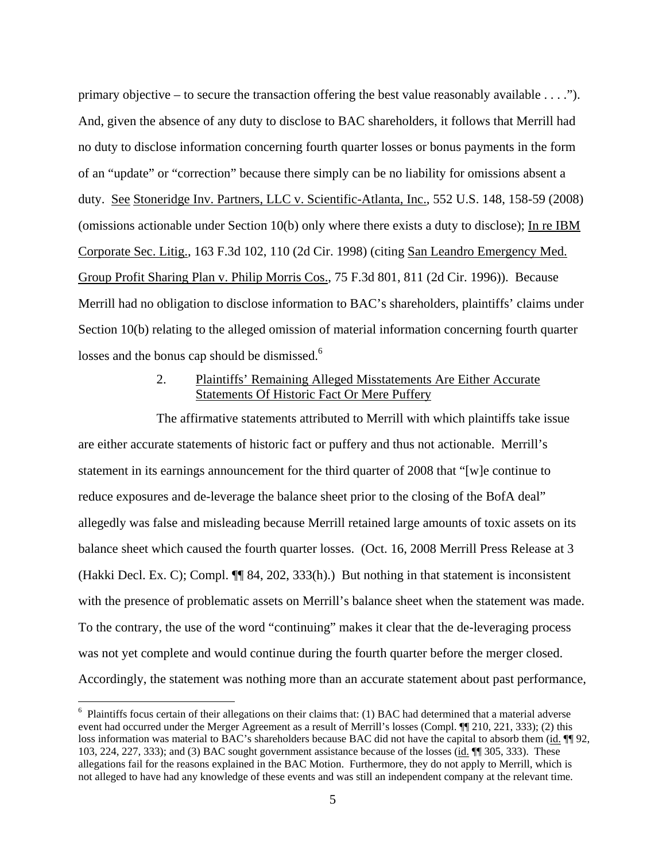primary objective – to secure the transaction offering the best value reasonably available . . . ."). And, given the absence of any duty to disclose to BAC shareholders, it follows that Merrill had no duty to disclose information concerning fourth quarter losses or bonus payments in the form of an "update" or "correction" because there simply can be no liability for omissions absent a duty. See Stoneridge Inv. Partners, LLC v. Scientific-Atlanta, Inc., 552 U.S. 148, 158-59 (2008) (omissions actionable under Section 10(b) only where there exists a duty to disclose); In re IBM Corporate Sec. Litig., 163 F.3d 102, 110 (2d Cir. 1998) (citing San Leandro Emergency Med. Group Profit Sharing Plan v. Philip Morris Cos., 75 F.3d 801, 811 (2d Cir. 1996)). Because Merrill had no obligation to disclose information to BAC's shareholders, plaintiffs' claims under Section 10(b) relating to the alleged omission of material information concerning fourth quarter losses and the bonus cap should be dismissed.<sup>6</sup>

# 2. Plaintiffs' Remaining Alleged Misstatements Are Either Accurate Statements Of Historic Fact Or Mere Puffery

The affirmative statements attributed to Merrill with which plaintiffs take issue are either accurate statements of historic fact or puffery and thus not actionable. Merrill's statement in its earnings announcement for the third quarter of 2008 that "[w]e continue to reduce exposures and de-leverage the balance sheet prior to the closing of the BofA deal" allegedly was false and misleading because Merrill retained large amounts of toxic assets on its balance sheet which caused the fourth quarter losses. (Oct. 16, 2008 Merrill Press Release at 3 (Hakki Decl. Ex. C); Compl. ¶¶ 84, 202, 333(h).) But nothing in that statement is inconsistent with the presence of problematic assets on Merrill's balance sheet when the statement was made. To the contrary, the use of the word "continuing" makes it clear that the de-leveraging process was not yet complete and would continue during the fourth quarter before the merger closed. Accordingly, the statement was nothing more than an accurate statement about past performance,

<sup>&</sup>lt;sup>6</sup> Plaintiffs focus certain of their allegations on their claims that: (1) BAC had determined that a material adverse event had occurred under the Merger Agreement as a result of Merrill's losses (Compl. ¶¶ 210, 221, 333); (2) this loss information was material to BAC's shareholders because BAC did not have the capital to absorb them (id. ¶[ 92, 103, 224, 227, 333); and (3) BAC sought government assistance because of the losses (id. ¶¶ 305, 333). These allegations fail for the reasons explained in the BAC Motion. Furthermore, they do not apply to Merrill, which is not alleged to have had any knowledge of these events and was still an independent company at the relevant time.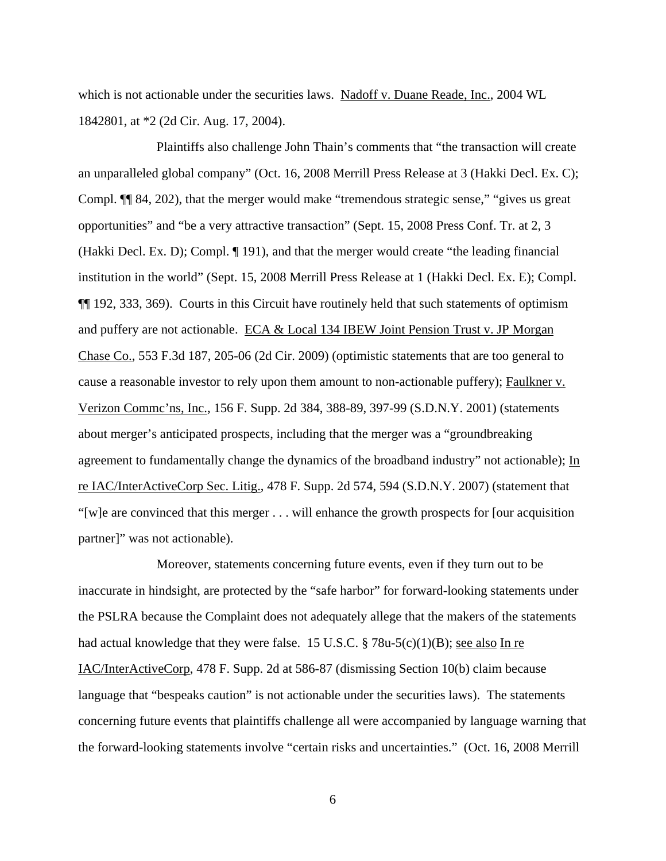which is not actionable under the securities laws. Nadoff v. Duane Reade, Inc., 2004 WL 1842801, at \*2 (2d Cir. Aug. 17, 2004).

Plaintiffs also challenge John Thain's comments that "the transaction will create an unparalleled global company" (Oct. 16, 2008 Merrill Press Release at 3 (Hakki Decl. Ex. C); Compl. ¶¶ 84, 202), that the merger would make "tremendous strategic sense," "gives us great opportunities" and "be a very attractive transaction" (Sept. 15, 2008 Press Conf. Tr. at 2, 3 (Hakki Decl. Ex. D); Compl. ¶ 191), and that the merger would create "the leading financial institution in the world" (Sept. 15, 2008 Merrill Press Release at 1 (Hakki Decl. Ex. E); Compl. ¶¶ 192, 333, 369). Courts in this Circuit have routinely held that such statements of optimism and puffery are not actionable. ECA & Local 134 IBEW Joint Pension Trust v. JP Morgan Chase Co., 553 F.3d 187, 205-06 (2d Cir. 2009) (optimistic statements that are too general to cause a reasonable investor to rely upon them amount to non-actionable puffery); Faulkner v. Verizon Commc'ns, Inc., 156 F. Supp. 2d 384, 388-89, 397-99 (S.D.N.Y. 2001) (statements about merger's anticipated prospects, including that the merger was a "groundbreaking agreement to fundamentally change the dynamics of the broadband industry" not actionable);  $\underline{\text{In}}$ re IAC/InterActiveCorp Sec. Litig., 478 F. Supp. 2d 574, 594 (S.D.N.Y. 2007) (statement that "[w]e are convinced that this merger . . . will enhance the growth prospects for [our acquisition partner]" was not actionable).

Moreover, statements concerning future events, even if they turn out to be inaccurate in hindsight, are protected by the "safe harbor" for forward-looking statements under the PSLRA because the Complaint does not adequately allege that the makers of the statements had actual knowledge that they were false. 15 U.S.C. § 78u-5(c)(1)(B); <u>see also In re</u> IAC/InterActiveCorp, 478 F. Supp. 2d at 586-87 (dismissing Section 10(b) claim because language that "bespeaks caution" is not actionable under the securities laws). The statements concerning future events that plaintiffs challenge all were accompanied by language warning that the forward-looking statements involve "certain risks and uncertainties." (Oct. 16, 2008 Merrill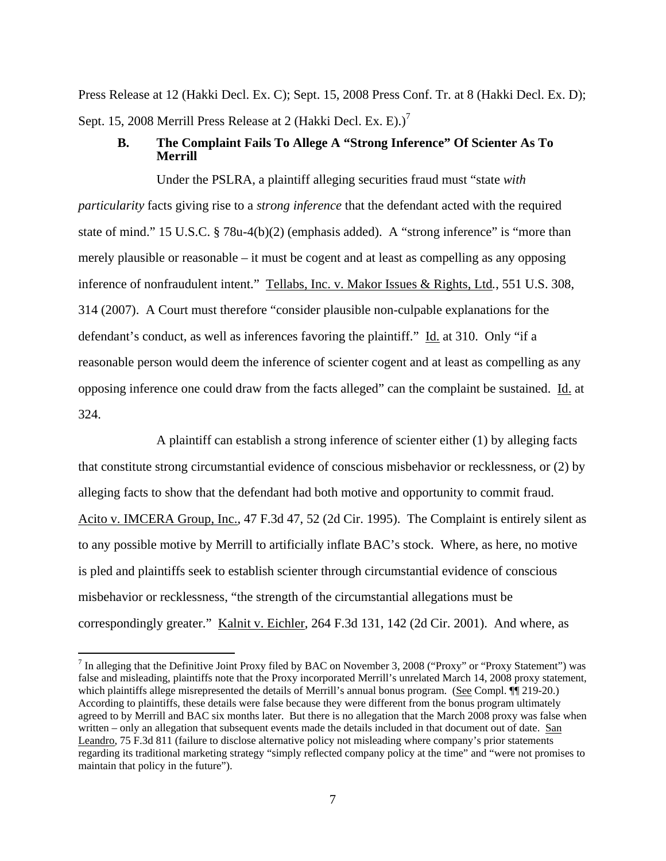Press Release at 12 (Hakki Decl. Ex. C); Sept. 15, 2008 Press Conf. Tr. at 8 (Hakki Decl. Ex. D); Sept. 15, 2008 Merrill Press Release at 2 (Hakki Decl. Ex. E).)<sup>7</sup>

# **B. The Complaint Fails To Allege A "Strong Inference" Of Scienter As To Merrill**

Under the PSLRA, a plaintiff alleging securities fraud must "state *with particularity* facts giving rise to a *strong inference* that the defendant acted with the required state of mind." 15 U.S.C. § 78u-4(b)(2) (emphasis added). A "strong inference" is "more than merely plausible or reasonable – it must be cogent and at least as compelling as any opposing inference of nonfraudulent intent." Tellabs, Inc. v. Makor Issues & Rights, Ltd*.*, 551 U.S. 308, 314 (2007). A Court must therefore "consider plausible non-culpable explanations for the defendant's conduct, as well as inferences favoring the plaintiff." Id. at 310. Only "if a reasonable person would deem the inference of scienter cogent and at least as compelling as any opposing inference one could draw from the facts alleged" can the complaint be sustained. Id. at 324.

A plaintiff can establish a strong inference of scienter either (1) by alleging facts that constitute strong circumstantial evidence of conscious misbehavior or recklessness, or (2) by alleging facts to show that the defendant had both motive and opportunity to commit fraud. Acito v. IMCERA Group, Inc., 47 F.3d 47, 52 (2d Cir. 1995). The Complaint is entirely silent as to any possible motive by Merrill to artificially inflate BAC's stock. Where, as here, no motive is pled and plaintiffs seek to establish scienter through circumstantial evidence of conscious misbehavior or recklessness, "the strength of the circumstantial allegations must be correspondingly greater." Kalnit v. Eichler, 264 F.3d 131, 142 (2d Cir. 2001). And where, as

<sup>&</sup>lt;sup>7</sup> In alleging that the Definitive Joint Proxy filed by BAC on November 3, 2008 ("Proxy" or "Proxy Statement") was false and misleading, plaintiffs note that the Proxy incorporated Merrill's unrelated March 14, 2008 proxy statement, which plaintiffs allege misrepresented the details of Merrill's annual bonus program. (See Compl.  $\P$  219-20.) According to plaintiffs, these details were false because they were different from the bonus program ultimately agreed to by Merrill and BAC six months later. But there is no allegation that the March 2008 proxy was false when written – only an allegation that subsequent events made the details included in that document out of date. San Leandro, 75 F.3d 811 (failure to disclose alternative policy not misleading where company's prior statements regarding its traditional marketing strategy "simply reflected company policy at the time" and "were not promises to maintain that policy in the future").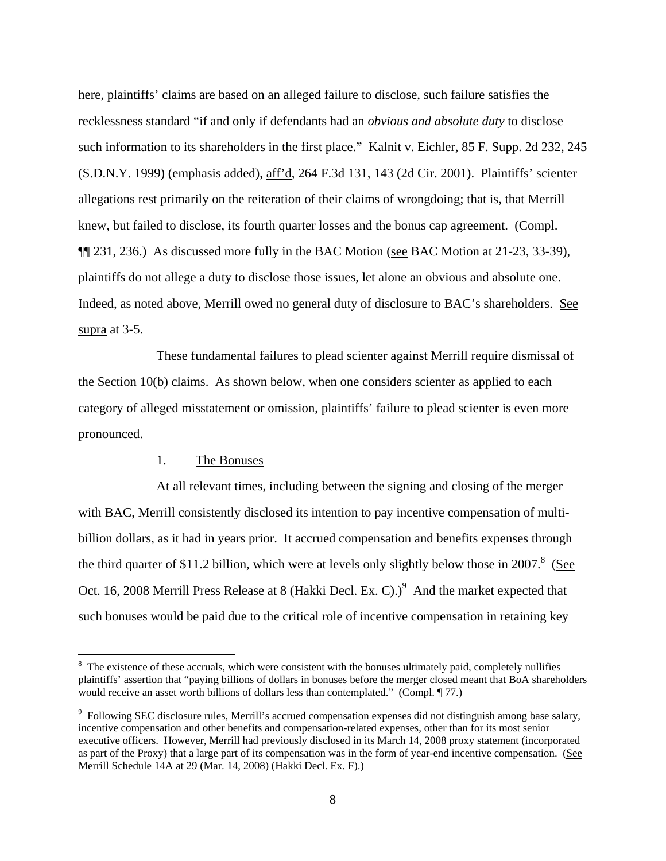here, plaintiffs' claims are based on an alleged failure to disclose, such failure satisfies the recklessness standard "if and only if defendants had an *obvious and absolute duty* to disclose such information to its shareholders in the first place." Kalnit v. Eichler, 85 F. Supp. 2d 232, 245 (S.D.N.Y. 1999) (emphasis added), aff'd, 264 F.3d 131, 143 (2d Cir. 2001). Plaintiffs' scienter allegations rest primarily on the reiteration of their claims of wrongdoing; that is, that Merrill knew, but failed to disclose, its fourth quarter losses and the bonus cap agreement. (Compl. ¶¶ 231, 236.) As discussed more fully in the BAC Motion (see BAC Motion at 21-23, 33-39), plaintiffs do not allege a duty to disclose those issues, let alone an obvious and absolute one. Indeed, as noted above, Merrill owed no general duty of disclosure to BAC's shareholders. See supra at 3-5.

These fundamental failures to plead scienter against Merrill require dismissal of the Section 10(b) claims. As shown below, when one considers scienter as applied to each category of alleged misstatement or omission, plaintiffs' failure to plead scienter is even more pronounced.

## 1. The Bonuses

 $\overline{a}$ 

At all relevant times, including between the signing and closing of the merger with BAC, Merrill consistently disclosed its intention to pay incentive compensation of multibillion dollars, as it had in years prior. It accrued compensation and benefits expenses through the third quarter of \$11.2 billion, which were at levels only slightly below those in 2007. $8$  (See Oct. 16, 2008 Merrill Press Release at 8 (Hakki Decl. Ex. C).)<sup>9</sup> And the market expected that such bonuses would be paid due to the critical role of incentive compensation in retaining key

 $8\text{ The existence of these accruals, which were consistent with the bonuses ultimately paid, completely nullifies.}$ plaintiffs' assertion that "paying billions of dollars in bonuses before the merger closed meant that BoA shareholders would receive an asset worth billions of dollars less than contemplated." (Compl. 177.)

<sup>&</sup>lt;sup>9</sup> Following SEC disclosure rules, Merrill's accrued compensation expenses did not distinguish among base salary, incentive compensation and other benefits and compensation-related expenses, other than for its most senior executive officers. However, Merrill had previously disclosed in its March 14, 2008 proxy statement (incorporated as part of the Proxy) that a large part of its compensation was in the form of year-end incentive compensation. (See Merrill Schedule 14A at 29 (Mar. 14, 2008) (Hakki Decl. Ex. F).)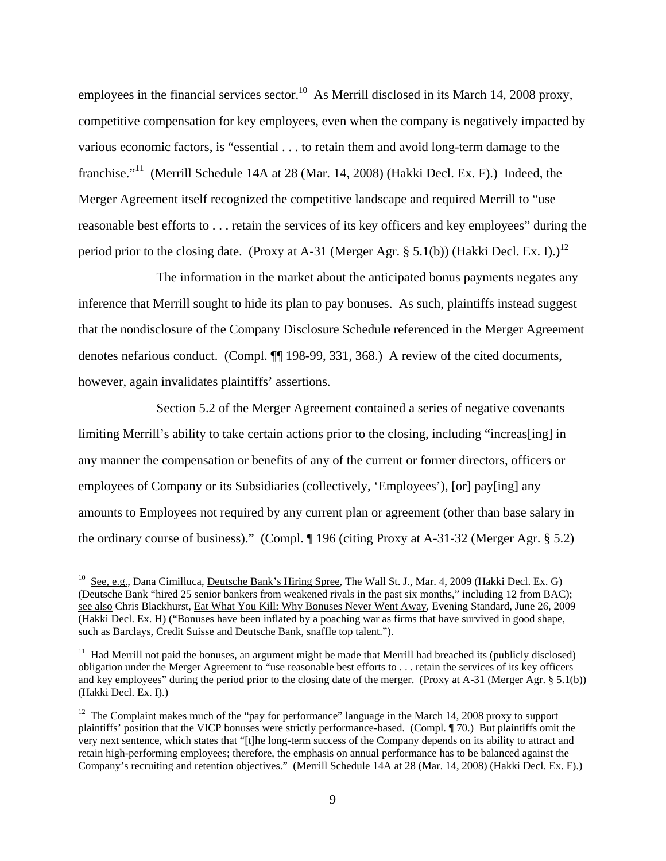employees in the financial services sector.<sup>10</sup> As Merrill disclosed in its March 14, 2008 proxy, competitive compensation for key employees, even when the company is negatively impacted by various economic factors, is "essential . . . to retain them and avoid long-term damage to the franchise."<sup>11</sup> (Merrill Schedule 14A at 28 (Mar. 14, 2008) (Hakki Decl. Ex. F).) Indeed, the Merger Agreement itself recognized the competitive landscape and required Merrill to "use reasonable best efforts to . . . retain the services of its key officers and key employees" during the period prior to the closing date. (Proxy at A-31 (Merger Agr. § 5.1(b)) (Hakki Decl. Ex. I).)<sup>12</sup>

The information in the market about the anticipated bonus payments negates any inference that Merrill sought to hide its plan to pay bonuses. As such, plaintiffs instead suggest that the nondisclosure of the Company Disclosure Schedule referenced in the Merger Agreement denotes nefarious conduct. (Compl. ¶¶ 198-99, 331, 368.) A review of the cited documents, however, again invalidates plaintiffs' assertions.

Section 5.2 of the Merger Agreement contained a series of negative covenants limiting Merrill's ability to take certain actions prior to the closing, including "increas[ing] in any manner the compensation or benefits of any of the current or former directors, officers or employees of Company or its Subsidiaries (collectively, 'Employees'), [or] pay[ing] any amounts to Employees not required by any current plan or agreement (other than base salary in the ordinary course of business)." (Compl. ¶ 196 (citing Proxy at A-31-32 (Merger Agr. § 5.2)

<sup>&</sup>lt;sup>10</sup> See, e.g., Dana Cimilluca, <u>Deutsche Bank's Hiring Spree</u>, The Wall St. J., Mar. 4, 2009 (Hakki Decl. Ex. G) (Deutsche Bank "hired 25 senior bankers from weakened rivals in the past six months," including 12 from BAC); see also Chris Blackhurst, Eat What You Kill: Why Bonuses Never Went Away, Evening Standard, June 26, 2009 (Hakki Decl. Ex. H) ("Bonuses have been inflated by a poaching war as firms that have survived in good shape, such as Barclays, Credit Suisse and Deutsche Bank, snaffle top talent.").

 $11$  Had Merrill not paid the bonuses, an argument might be made that Merrill had breached its (publicly disclosed) obligation under the Merger Agreement to "use reasonable best efforts to . . . retain the services of its key officers and key employees" during the period prior to the closing date of the merger. (Proxy at A-31 (Merger Agr. § 5.1(b)) (Hakki Decl. Ex. I).)

<sup>&</sup>lt;sup>12</sup> The Complaint makes much of the "pay for performance" language in the March 14, 2008 proxy to support plaintiffs' position that the VICP bonuses were strictly performance-based. (Compl. ¶ 70.) But plaintiffs omit the very next sentence, which states that "[t]he long-term success of the Company depends on its ability to attract and retain high-performing employees; therefore, the emphasis on annual performance has to be balanced against the Company's recruiting and retention objectives." (Merrill Schedule 14A at 28 (Mar. 14, 2008) (Hakki Decl. Ex. F).)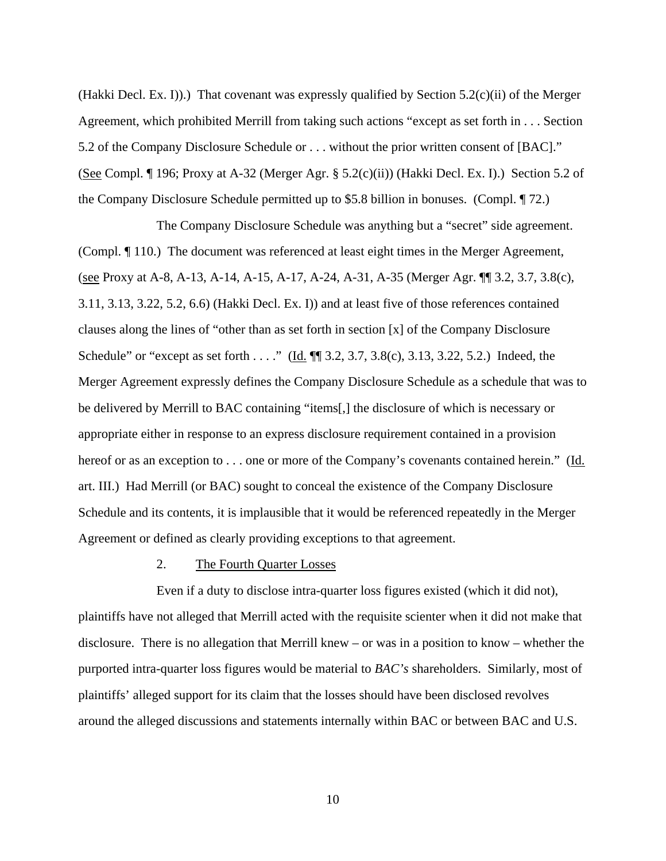(Hakki Decl. Ex. I)).) That covenant was expressly qualified by Section 5.2(c)(ii) of the Merger Agreement, which prohibited Merrill from taking such actions "except as set forth in . . . Section 5.2 of the Company Disclosure Schedule or . . . without the prior written consent of [BAC]." (See Compl. ¶ 196; Proxy at A-32 (Merger Agr. § 5.2(c)(ii)) (Hakki Decl. Ex. I).) Section 5.2 of the Company Disclosure Schedule permitted up to \$5.8 billion in bonuses. (Compl. ¶ 72.)

The Company Disclosure Schedule was anything but a "secret" side agreement. (Compl. ¶ 110.) The document was referenced at least eight times in the Merger Agreement, (see Proxy at A-8, A-13, A-14, A-15, A-17, A-24, A-31, A-35 (Merger Agr. ¶¶ 3.2, 3.7, 3.8(c), 3.11, 3.13, 3.22, 5.2, 6.6) (Hakki Decl. Ex. I)) and at least five of those references contained clauses along the lines of "other than as set forth in section [x] of the Company Disclosure Schedule" or "except as set forth . . . ." (Id.  $\P$  3.2, 3.7, 3.8(c), 3.13, 3.22, 5.2.) Indeed, the Merger Agreement expressly defines the Company Disclosure Schedule as a schedule that was to be delivered by Merrill to BAC containing "items[,] the disclosure of which is necessary or appropriate either in response to an express disclosure requirement contained in a provision hereof or as an exception to  $\dots$  one or more of the Company's covenants contained herein." (Id. art. III.) Had Merrill (or BAC) sought to conceal the existence of the Company Disclosure Schedule and its contents, it is implausible that it would be referenced repeatedly in the Merger Agreement or defined as clearly providing exceptions to that agreement.

### 2. The Fourth Quarter Losses

Even if a duty to disclose intra-quarter loss figures existed (which it did not), plaintiffs have not alleged that Merrill acted with the requisite scienter when it did not make that disclosure. There is no allegation that Merrill knew – or was in a position to know – whether the purported intra-quarter loss figures would be material to *BAC's* shareholders. Similarly, most of plaintiffs' alleged support for its claim that the losses should have been disclosed revolves around the alleged discussions and statements internally within BAC or between BAC and U.S.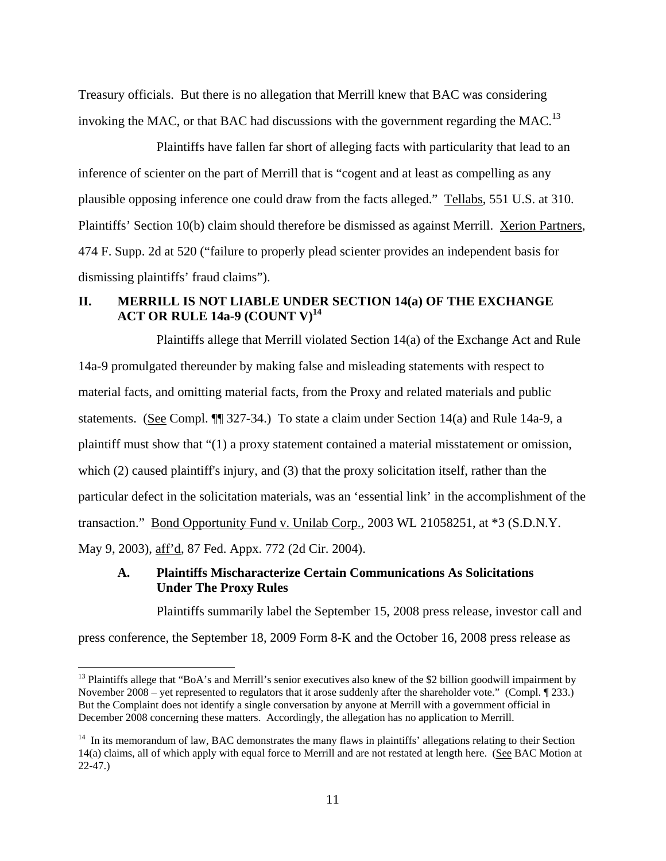Treasury officials. But there is no allegation that Merrill knew that BAC was considering invoking the MAC, or that BAC had discussions with the government regarding the MAC.<sup>13</sup>

Plaintiffs have fallen far short of alleging facts with particularity that lead to an inference of scienter on the part of Merrill that is "cogent and at least as compelling as any plausible opposing inference one could draw from the facts alleged." Tellabs, 551 U.S. at 310. Plaintiffs' Section 10(b) claim should therefore be dismissed as against Merrill. Xerion Partners, 474 F. Supp. 2d at 520 ("failure to properly plead scienter provides an independent basis for dismissing plaintiffs' fraud claims").

# **II. MERRILL IS NOT LIABLE UNDER SECTION 14(a) OF THE EXCHANGE ACT OR RULE 14a-9 (COUNT V)<sup>14</sup>**

Plaintiffs allege that Merrill violated Section 14(a) of the Exchange Act and Rule 14a-9 promulgated thereunder by making false and misleading statements with respect to material facts, and omitting material facts, from the Proxy and related materials and public statements. (See Compl. ¶¶ 327-34.) To state a claim under Section 14(a) and Rule 14a-9, a plaintiff must show that "(1) a proxy statement contained a material misstatement or omission, which (2) caused plaintiff's injury, and (3) that the proxy solicitation itself, rather than the particular defect in the solicitation materials, was an 'essential link' in the accomplishment of the transaction." Bond Opportunity Fund v. Unilab Corp.*,* 2003 WL 21058251, at \*3 (S.D.N.Y. May 9, 2003), aff'd, 87 Fed. Appx. 772 (2d Cir. 2004).

## **A. Plaintiffs Mischaracterize Certain Communications As Solicitations Under The Proxy Rules**

Plaintiffs summarily label the September 15, 2008 press release, investor call and

press conference, the September 18, 2009 Form 8-K and the October 16, 2008 press release as

<sup>&</sup>lt;sup>13</sup> Plaintiffs allege that "BoA's and Merrill's senior executives also knew of the \$2 billion goodwill impairment by November 2008 – yet represented to regulators that it arose suddenly after the shareholder vote." (Compl. ¶ 233.) But the Complaint does not identify a single conversation by anyone at Merrill with a government official in December 2008 concerning these matters. Accordingly, the allegation has no application to Merrill.

<sup>&</sup>lt;sup>14</sup> In its memorandum of law, BAC demonstrates the many flaws in plaintiffs' allegations relating to their Section 14(a) claims, all of which apply with equal force to Merrill and are not restated at length here. (See BAC Motion at 22-47.)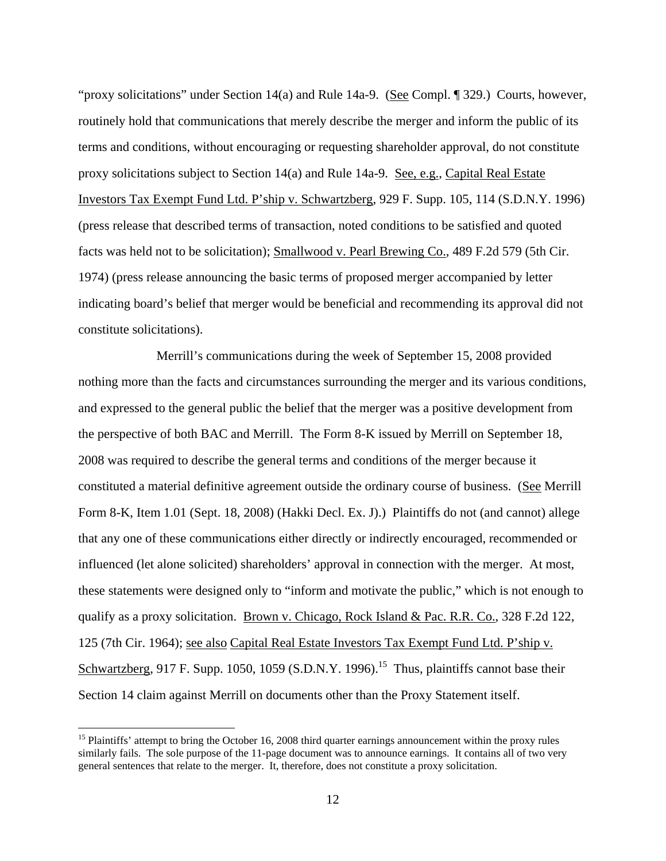"proxy solicitations" under Section 14(a) and Rule 14a-9. (See Compl. 1329.) Courts, however, routinely hold that communications that merely describe the merger and inform the public of its terms and conditions, without encouraging or requesting shareholder approval, do not constitute proxy solicitations subject to Section 14(a) and Rule 14a-9. See, e.g., Capital Real Estate Investors Tax Exempt Fund Ltd. P'ship v. Schwartzberg, 929 F. Supp. 105, 114 (S.D.N.Y. 1996) (press release that described terms of transaction, noted conditions to be satisfied and quoted facts was held not to be solicitation); Smallwood v. Pearl Brewing Co., 489 F.2d 579 (5th Cir. 1974) (press release announcing the basic terms of proposed merger accompanied by letter indicating board's belief that merger would be beneficial and recommending its approval did not constitute solicitations).

Merrill's communications during the week of September 15, 2008 provided nothing more than the facts and circumstances surrounding the merger and its various conditions, and expressed to the general public the belief that the merger was a positive development from the perspective of both BAC and Merrill. The Form 8-K issued by Merrill on September 18, 2008 was required to describe the general terms and conditions of the merger because it constituted a material definitive agreement outside the ordinary course of business. (See Merrill Form 8-K, Item 1.01 (Sept. 18, 2008) (Hakki Decl. Ex. J).) Plaintiffs do not (and cannot) allege that any one of these communications either directly or indirectly encouraged, recommended or influenced (let alone solicited) shareholders' approval in connection with the merger. At most, these statements were designed only to "inform and motivate the public," which is not enough to qualify as a proxy solicitation. Brown v. Chicago, Rock Island & Pac. R.R. Co., 328 F.2d 122, 125 (7th Cir. 1964); see also Capital Real Estate Investors Tax Exempt Fund Ltd. P'ship v. Schwartzberg, 917 F. Supp. 1050, 1059 (S.D.N.Y. 1996).<sup>15</sup> Thus, plaintiffs cannot base their Section 14 claim against Merrill on documents other than the Proxy Statement itself.

 $15$  Plaintiffs' attempt to bring the October 16, 2008 third quarter earnings announcement within the proxy rules similarly fails. The sole purpose of the 11-page document was to announce earnings. It contains all of two very general sentences that relate to the merger. It, therefore, does not constitute a proxy solicitation.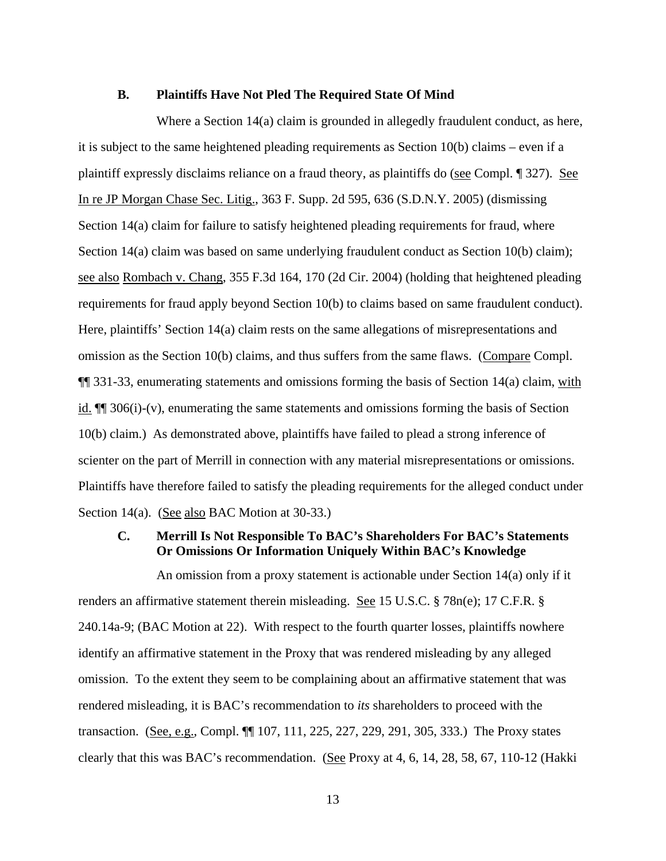#### **B. Plaintiffs Have Not Pled The Required State Of Mind**

Where a Section 14(a) claim is grounded in allegedly fraudulent conduct, as here, it is subject to the same heightened pleading requirements as Section 10(b) claims – even if a plaintiff expressly disclaims reliance on a fraud theory, as plaintiffs do (see Compl. ¶ 327). See In re JP Morgan Chase Sec. Litig., 363 F. Supp. 2d 595, 636 (S.D.N.Y. 2005) (dismissing Section 14(a) claim for failure to satisfy heightened pleading requirements for fraud, where Section 14(a) claim was based on same underlying fraudulent conduct as Section 10(b) claim); see also Rombach v. Chang, 355 F.3d 164, 170 (2d Cir. 2004) (holding that heightened pleading requirements for fraud apply beyond Section 10(b) to claims based on same fraudulent conduct). Here, plaintiffs' Section 14(a) claim rests on the same allegations of misrepresentations and omission as the Section 10(b) claims, and thus suffers from the same flaws. (Compare Compl. **[1]** 331-33, enumerating statements and omissions forming the basis of Section 14(a) claim, with id. ¶¶ 306(i)-(v), enumerating the same statements and omissions forming the basis of Section 10(b) claim.) As demonstrated above, plaintiffs have failed to plead a strong inference of scienter on the part of Merrill in connection with any material misrepresentations or omissions. Plaintiffs have therefore failed to satisfy the pleading requirements for the alleged conduct under Section 14(a). (See also BAC Motion at 30-33.)

## **C. Merrill Is Not Responsible To BAC's Shareholders For BAC's Statements Or Omissions Or Information Uniquely Within BAC's Knowledge**

An omission from a proxy statement is actionable under Section 14(a) only if it renders an affirmative statement therein misleading. See 15 U.S.C. § 78n(e); 17 C.F.R. § 240.14a-9; (BAC Motion at 22). With respect to the fourth quarter losses, plaintiffs nowhere identify an affirmative statement in the Proxy that was rendered misleading by any alleged omission. To the extent they seem to be complaining about an affirmative statement that was rendered misleading, it is BAC's recommendation to *its* shareholders to proceed with the transaction. (See, e.g., Compl. ¶¶ 107, 111, 225, 227, 229, 291, 305, 333.) The Proxy states clearly that this was BAC's recommendation. (See Proxy at 4, 6, 14, 28, 58, 67, 110-12 (Hakki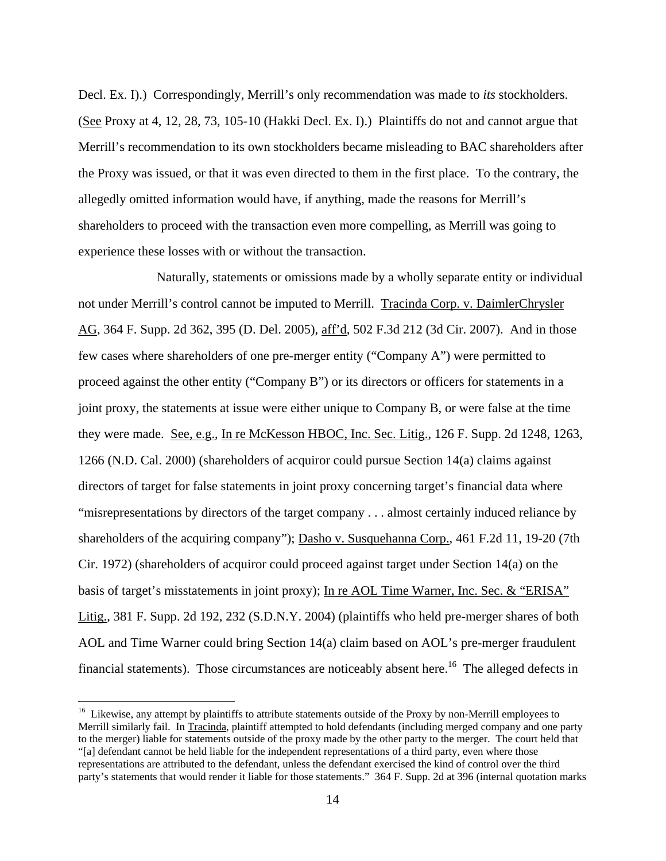Decl. Ex. I).) Correspondingly, Merrill's only recommendation was made to *its* stockholders. (See Proxy at 4, 12, 28, 73, 105-10 (Hakki Decl. Ex. I).) Plaintiffs do not and cannot argue that Merrill's recommendation to its own stockholders became misleading to BAC shareholders after the Proxy was issued, or that it was even directed to them in the first place. To the contrary, the allegedly omitted information would have, if anything, made the reasons for Merrill's shareholders to proceed with the transaction even more compelling, as Merrill was going to experience these losses with or without the transaction.

Naturally, statements or omissions made by a wholly separate entity or individual not under Merrill's control cannot be imputed to Merrill. Tracinda Corp. v. DaimlerChrysler AG, 364 F. Supp. 2d 362, 395 (D. Del. 2005), aff'd, 502 F.3d 212 (3d Cir. 2007). And in those few cases where shareholders of one pre-merger entity ("Company A") were permitted to proceed against the other entity ("Company B") or its directors or officers for statements in a joint proxy, the statements at issue were either unique to Company B, or were false at the time they were made. See, e.g., In re McKesson HBOC, Inc. Sec. Litig., 126 F. Supp. 2d 1248, 1263, 1266 (N.D. Cal. 2000) (shareholders of acquiror could pursue Section 14(a) claims against directors of target for false statements in joint proxy concerning target's financial data where "misrepresentations by directors of the target company . . . almost certainly induced reliance by shareholders of the acquiring company"); Dasho v. Susquehanna Corp., 461 F.2d 11, 19-20 (7th Cir. 1972) (shareholders of acquiror could proceed against target under Section 14(a) on the basis of target's misstatements in joint proxy); In re AOL Time Warner, Inc. Sec. & "ERISA" Litig., 381 F. Supp. 2d 192, 232 (S.D.N.Y. 2004) (plaintiffs who held pre-merger shares of both AOL and Time Warner could bring Section 14(a) claim based on AOL's pre-merger fraudulent financial statements). Those circumstances are noticeably absent here.<sup>16</sup> The alleged defects in

<sup>&</sup>lt;sup>16</sup> Likewise, any attempt by plaintiffs to attribute statements outside of the Proxy by non-Merrill employees to Merrill similarly fail. In Tracinda, plaintiff attempted to hold defendants (including merged company and one party to the merger) liable for statements outside of the proxy made by the other party to the merger. The court held that "[a] defendant cannot be held liable for the independent representations of a third party, even where those representations are attributed to the defendant, unless the defendant exercised the kind of control over the third party's statements that would render it liable for those statements." 364 F. Supp. 2d at 396 (internal quotation marks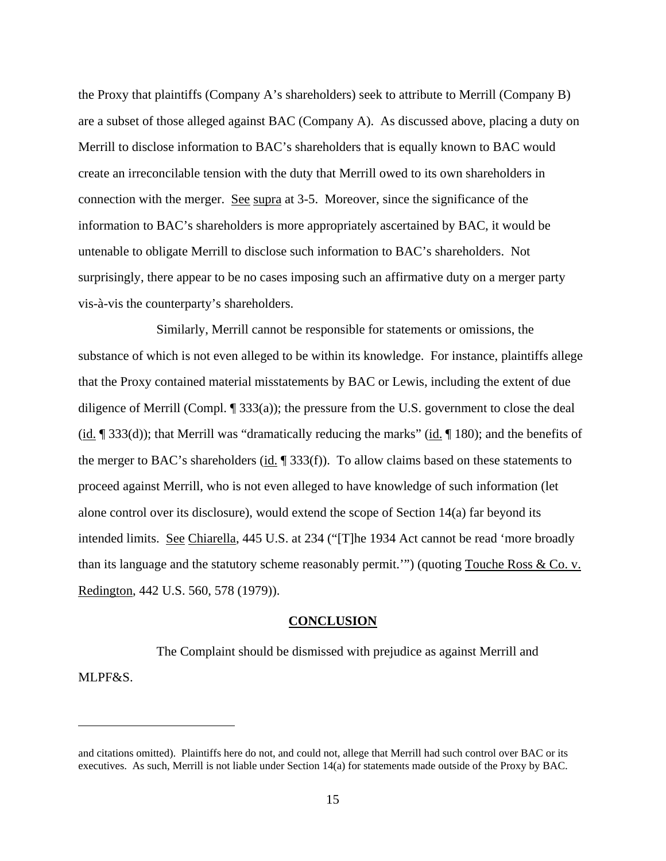the Proxy that plaintiffs (Company A's shareholders) seek to attribute to Merrill (Company B) are a subset of those alleged against BAC (Company A). As discussed above, placing a duty on Merrill to disclose information to BAC's shareholders that is equally known to BAC would create an irreconcilable tension with the duty that Merrill owed to its own shareholders in connection with the merger. See supra at 3-5. Moreover, since the significance of the information to BAC's shareholders is more appropriately ascertained by BAC, it would be untenable to obligate Merrill to disclose such information to BAC's shareholders. Not surprisingly, there appear to be no cases imposing such an affirmative duty on a merger party vis-à-vis the counterparty's shareholders.

Similarly, Merrill cannot be responsible for statements or omissions, the substance of which is not even alleged to be within its knowledge. For instance, plaintiffs allege that the Proxy contained material misstatements by BAC or Lewis, including the extent of due diligence of Merrill (Compl. ¶ 333(a)); the pressure from the U.S. government to close the deal (id.  $\left[$  333(d)); that Merrill was "dramatically reducing the marks" (id.  $\left[$  180); and the benefits of the merger to BAC's shareholders (id.  $\parallel$  333(f)). To allow claims based on these statements to proceed against Merrill, who is not even alleged to have knowledge of such information (let alone control over its disclosure), would extend the scope of Section 14(a) far beyond its intended limits. See Chiarella, 445 U.S. at 234 ("[T]he 1934 Act cannot be read 'more broadly than its language and the statutory scheme reasonably permit.'") (quoting Touche Ross & Co. v. Redington, 442 U.S. 560, 578 (1979)).

### **CONCLUSION**

The Complaint should be dismissed with prejudice as against Merrill and MLPF&S.

and citations omitted). Plaintiffs here do not, and could not, allege that Merrill had such control over BAC or its executives. As such, Merrill is not liable under Section 14(a) for statements made outside of the Proxy by BAC.